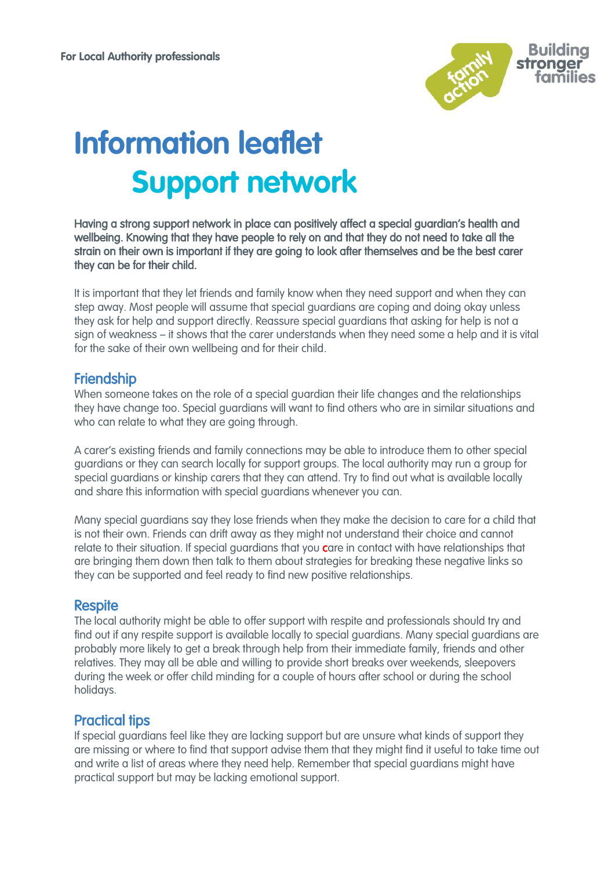

# **Information leaflet Support network**

Having a strong support network in place can positively affect a special guardian's health and wellbeing. Knowing that they have people to rely on and that they do not need to take all the strain on their own is important if they are going to look after themselves and be the best carer they can be for their child.

It is important that they let friends and family know when they need support and when they can step away. Most people will assume that special guardians are coping and doing okay unless they ask for help and support directly. Reassure special guardians that asking for help is not a sign of weakness – it shows that the carer understands when they need some a help and it is vital for the sake of their own wellbeing and for their child.

## **Friendship**

When someone takes on the role of a special guardian their life changes and the relationships they have change too. Special guardians will want to find others who are in similar situations and who can relate to what they are going through.

A carer's existing friends and family connections may be able to introduce them to other special guardians or they can search locally for support groups. The local authority may run a group for special guardians or kinship carers that they can attend. Try to find out what is available locally and share this information with special guardians whenever you can.

Many special guardians say they lose friends when they make the decision to care for a child that is not their own. Friends can drift away as they might not understand their choice and cannot relate to their situation. If special guardians that you care in contact with have relationships that are bringing them down then talk to them about strategies for breaking these negative links so they can be supported and feel ready to find new positive relationships.

### **Respite**

The local authority might be able to offer support with respite and professionals should try and find out if any respite support is available locally to special guardians. Many special guardians are probably more likely to get a break through help from their immediate family, friends and other relatives. They may all be able and willing to provide short breaks over weekends, sleepovers during the week or offer child minding for a couple of hours after school or during the school holidays.

# Practical tips

If special guardians feel like they are lacking support but are unsure what kinds of support they are missing or where to find that support advise them that they might find it useful to take time out and write a list of areas where they need help. Remember that special guardians might have practical support but may be lacking emotional support.